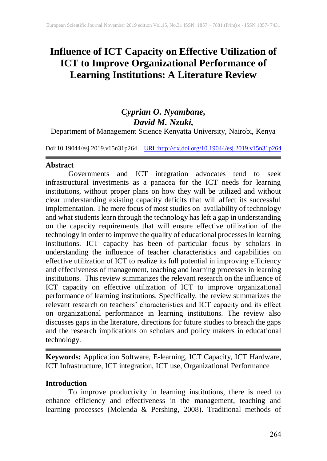# **Influence of ICT Capacity on Effective Utilization of ICT to Improve Organizational Performance of Learning Institutions: A Literature Review**

# *Cyprian O. Nyambane, David M. Nzuki,* Department of Management Science Kenyatta University, Nairobi, Kenya

Doi:10.19044/esj.2019.v15n31p264 [URL:http://dx.doi.org/10.19044/esj.2019.v15n31p2](http://dx.doi.org/10.19044/esj.2019.v15n31p1)64

#### **Abstract**

Governments and ICT integration advocates tend to seek infrastructural investments as a panacea for the ICT needs for learning institutions, without proper plans on how they will be utilized and without clear understanding existing capacity deficits that will affect its successful implementation. The mere focus of most studies on availability of technology and what students learn through the technology has left a gap in understanding on the capacity requirements that will ensure effective utilization of the technology in order to improve the quality of educational processes in learning institutions. ICT capacity has been of particular focus by scholars in understanding the influence of teacher characteristics and capabilities on effective utilization of ICT to realize its full potential in improving efficiency and effectiveness of management, teaching and learning processes in learning institutions. This review summarizes the relevant research on the influence of ICT capacity on effective utilization of ICT to improve organizational performance of learning institutions. Specifically, the review summarizes the relevant research on teachers' characteristics and ICT capacity and its effect on organizational performance in learning institutions. The review also discusses gaps in the literature, directions for future studies to breach the gaps and the research implications on scholars and policy makers in educational technology.

**Keywords:** Application Software, E-learning, ICT Capacity, ICT Hardware, ICT Infrastructure, ICT integration, ICT use, Organizational Performance

## **Introduction**

To improve productivity in learning institutions, there is need to enhance efficiency and effectiveness in the management, teaching and learning processes (Molenda & Pershing, 2008). Traditional methods of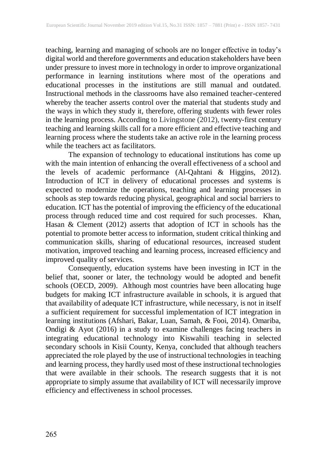teaching, learning and managing of schools are no longer effective in today's digital world and therefore governments and education stakeholders have been under pressure to invest more in technology in order to improve organizational performance in learning institutions where most of the operations and educational processes in the institutions are still manual and outdated. Instructional methods in the classrooms have also remained teacher-centered whereby the teacher asserts control over the material that students study and the ways in which they study it, therefore, offering students with fewer roles in the learning process. According to Livingstone (2012), twenty-first century teaching and learning skills call for a more efficient and effective teaching and learning process where the students take an active role in the learning process while the teachers act as facilitators.

The expansion of technology to educational institutions has come up with the main intention of enhancing the overall effectiveness of a school and the levels of academic performance (Al-Qahtani & Higgins, 2012). Introduction of ICT in delivery of educational processes and systems is expected to modernize the operations, teaching and learning processes in schools as step towards reducing physical, geographical and social barriers to education. ICT has the potential of improving the efficiency of the educational process through reduced time and cost required for such processes. Khan, Hasan & Clement (2012) asserts that adoption of ICT in schools has the potential to promote better access to information, student critical thinking and communication skills, sharing of educational resources, increased student motivation, improved teaching and learning process, increased efficiency and improved quality of services.

Consequently, education systems have been investing in ICT in the belief that, sooner or later, the technology would be adopted and benefit schools (OECD, 2009). Although most countries have been allocating huge budgets for making ICT infrastructure available in schools, it is argued that that availability of adequate ICT infrastructure, while necessary, is not in itself a sufficient requirement for successful implementation of ICT integration in learning institutions (Afshari, Bakar, Luan, Samah, & Fooi, 2014). Omariba, Ondigi & Ayot (2016) in a study to examine challenges facing teachers in integrating educational technology into Kiswahili teaching in selected secondary schools in Kisii County, Kenya, concluded that although teachers appreciated the role played by the use of instructional technologies in teaching and learning process, they hardly used most of these instructional technologies that were available in their schools. The research suggests that it is not appropriate to simply assume that availability of ICT will necessarily improve efficiency and effectiveness in school processes.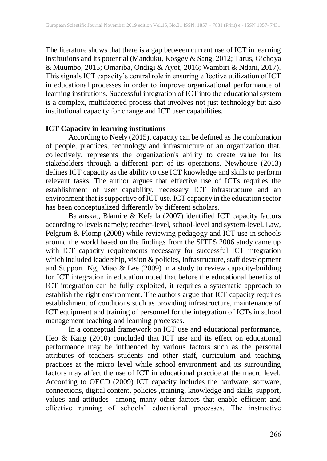The literature shows that there is a gap between current use of ICT in learning institutions and its potential (Manduku, Kosgey & Sang, 2012; Tarus, Gichoya & Muumbo, 2015; Omariba, Ondigi & Ayot, 2016; Wambiri & Ndani, 2017). This signals ICT capacity's central role in ensuring effective utilization of ICT in educational processes in order to improve organizational performance of learning institutions. Successful integration of ICT into the educational system is a complex, multifaceted process that involves not just technology but also institutional capacity for change and ICT user capabilities.

#### **ICT Capacity in learning institutions**

According to Neely (2015), capacity can be defined as the combination of people, practices, technology and infrastructure of an organization that, collectively, represents the organization's ability to create value for its stakeholders through a different part of its operations. Newhouse (2013) defines ICT capacity as the ability to use ICT knowledge and skills to perform relevant tasks. The author argues that effective use of ICTs requires the establishment of user capability, necessary ICT infrastructure and an environment that is supportive of ICT use. ICT capacity in the education sector has been conceptualized differently by different scholars.

Balanskat, Blamire & Kefalla (2007) identified ICT capacity factors according to levels namely; teacher-level, school-level and system-level. Law, Pelgrum & Plomp (2008) while reviewing pedagogy and ICT use in schools around the world based on the findings from the SITES 2006 study came up with ICT capacity requirements necessary for successful ICT integration which included leadership, vision & policies, infrastructure, staff development and Support. Ng, Miao & Lee (2009) in a study to review capacity-building for ICT integration in education noted that before the educational benefits of ICT integration can be fully exploited, it requires a systematic approach to establish the right environment. The authors argue that ICT capacity requires establishment of conditions such as providing infrastructure, maintenance of ICT equipment and training of personnel for the integration of ICTs in school management teaching and learning processes.

In a conceptual framework on ICT use and educational performance, Heo & Kang (2010) concluded that ICT use and its effect on educational performance may be influenced by various factors such as the personal attributes of teachers students and other staff, curriculum and teaching practices at the micro level while school environment and its surrounding factors may affect the use of ICT in educational practice at the macro level. According to OECD (2009) ICT capacity includes the hardware, software, connections, digital content, policies ,training, knowledge and skills, support, values and attitudes among many other factors that enable efficient and effective running of schools' educational processes. The instructive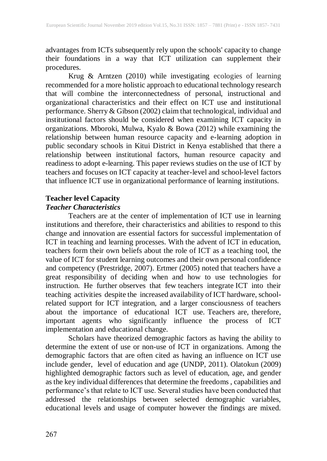advantages from ICTs subsequently rely upon the schools' capacity to change their foundations in a way that ICT utilization can supplement their procedures.

Krug & Arntzen (2010) while investigating ecologies of learning recommended for a more holistic approach to educational technology research that will combine the interconnectedness of personal, instructional and organizational characteristics and their effect on ICT use and institutional performance. Sherry & Gibson (2002) claim that technological, individual and institutional factors should be considered when examining ICT capacity in organizations. Mboroki, Mulwa, Kyalo & Bowa (2012) while examining the relationship between human resource capacity and e-learning adoption in public secondary schools in Kitui District in Kenya established that there a relationship between institutional factors, human resource capacity and readiness to adopt e-learning. This paper reviews studies on the use of ICT by teachers and focuses on ICT capacity at teacher-level and school-level factors that influence ICT use in organizational performance of learning institutions.

## **Teacher level Capacity** *Teacher Characteristics*

Teachers are at the center of implementation of ICT use in learning institutions and therefore, their characteristics and abilities to respond to this change and innovation are essential factors for successful implementation of ICT in teaching and learning processes. With the advent of ICT in education, teachers form their own beliefs about the role of ICT as a teaching tool, the value of ICT for student learning outcomes and their own personal confidence and competency (Prestridge, 2007). Ertmer (2005) noted that teachers have a great responsibility of deciding when and how to use technologies for instruction. He further observes that few teachers integrate ICT into their teaching activities despite the increased availability of ICT hardware, schoolrelated support for ICT integration, and a larger consciousness of teachers about the importance of educational ICT use. Teachers are, therefore, important agents who significantly influence the process of ICT implementation and educational change.

Scholars have theorized demographic factors as having the ability to determine the extent of use or non-use of ICT in organizations. Among the demographic factors that are often cited as having an influence on ICT use include gender, level of education and age (UNDP, 2011). Olatokun (2009) highlighted demographic factors such as level of education, age, and gender as the key individual differences that determine the freedoms , capabilities and performance's that relate to ICT use. Several studies have been conducted that addressed the relationships between selected demographic variables, educational levels and usage of computer however the findings are mixed.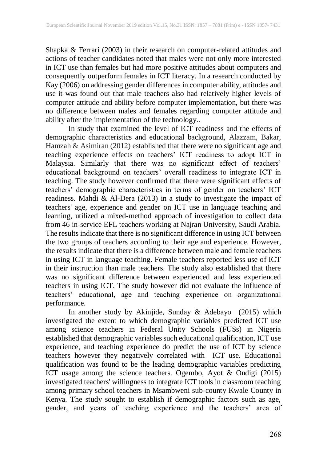Shapka & Ferrari (2003) in their research on computer-related attitudes and actions of teacher candidates noted that males were not only more interested in ICT use than females but had more positive attitudes about computers and consequently outperform females in ICT literacy. In a research conducted by Kay (2006) on addressing gender differences in computer ability, attitudes and use it was found out that male teachers also had relatively higher levels of computer attitude and ability before computer implementation, but there was no difference between males and females regarding computer attitude and ability after the implementation of the technology..

In study that examined the level of ICT readiness and the effects of demographic characteristics and educational background, Alazzam, Bakar, Hamzah & Asimiran (2012) established that there were no significant age and teaching experience effects on teachers' ICT readiness to adopt ICT in Malaysia. Similarly that there was no significant effect of teachers' educational background on teachers' overall readiness to integrate ICT in teaching. The study however confirmed that there were significant effects of teachers' demographic characteristics in terms of gender on teachers' ICT readiness. Mahdi & Al-Dera (2013) in a study to investigate the impact of teachers' age, experience and gender on ICT use in language teaching and learning, utilized a mixed-method approach of investigation to collect data from 46 in-service EFL teachers working at Najran University, Saudi Arabia. The results indicate that there is no significant difference in using ICT between the two groups of teachers according to their age and experience. However, the results indicate that there is a difference between male and female teachers in using ICT in language teaching. Female teachers reported less use of ICT in their instruction than male teachers. The study also established that there was no significant difference between experienced and less experienced teachers in using ICT. The study however did not evaluate the influence of teachers' educational, age and teaching experience on organizational performance.

In another study by Akinjide, Sunday & Adebayo (2015) which investigated the extent to which demographic variables predicted ICT use among science teachers in Federal Unity Schools (FUSs) in Nigeria established that demographic variables such educational qualification, ICT use experience, and teaching experience do predict the use of ICT by science teachers however they negatively correlated with ICT use. Educational qualification was found to be the leading demographic variables predicting ICT usage among the science teachers. Ogembo, Ayot & Ondigi (2015) investigated teachers' willingness to integrate ICT tools in classroom teaching among primary school teachers in Msambweni sub-county Kwale County in Kenya. The study sought to establish if demographic factors such as age, gender, and years of teaching experience and the teachers' area of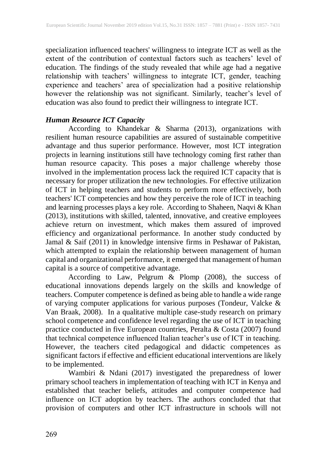specialization influenced teachers' willingness to integrate ICT as well as the extent of the contribution of contextual factors such as teachers' level of education. The findings of the study revealed that while age had a negative relationship with teachers' willingness to integrate ICT, gender, teaching experience and teachers' area of specialization had a positive relationship however the relationship was not significant. Similarly, teacher's level of education was also found to predict their willingness to integrate ICT.

#### *Human Resource ICT Capacity*

According to Khandekar & Sharma (2013), organizations with resilient human resource capabilities are assured of sustainable competitive advantage and thus superior performance. However, most ICT integration projects in learning institutions still have technology coming first rather than human resource capacity. This poses a major challenge whereby those involved in the implementation process lack the required ICT capacity that is necessary for proper utilization the new technologies. For effective utilization of ICT in helping teachers and students to perform more effectively, both teachers' ICT competencies and how they perceive the role of ICT in teaching and learning processes plays a key role. According to Shaheen, Naqvi & Khan (2013), institutions with skilled, talented, innovative, and creative employees achieve return on investment, which makes them assured of improved efficiency and organizational performance. In another study conducted by Jamal & Saif (2011) in knowledge intensive firms in Peshawar of Pakistan, which attempted to explain the relationship between management of human capital and organizational performance, it emerged that management of human capital is a source of competitive advantage.

According to Law, Pelgrum & Plomp (2008), the success of educational innovations depends largely on the skills and knowledge of teachers. Computer competence is defined as being able to handle a wide range of varying computer applications for various purposes (Tondeur, Valcke & Van Braak, 2008). In a qualitative multiple case-study research on primary school competence and confidence level regarding the use of ICT in teaching practice conducted in five European countries, Peralta & Costa (2007) found that technical competence influenced Italian teacher's use of ICT in teaching. However, the teachers cited pedagogical and didactic competences as significant factors if effective and efficient educational interventions are likely to be implemented.

Wambiri & Ndani (2017) investigated the preparedness of lower primary school teachers in implementation of teaching with ICT in Kenya and established that teacher beliefs, attitudes and computer competence had influence on ICT adoption by teachers. The authors concluded that that provision of computers and other ICT infrastructure in schools will not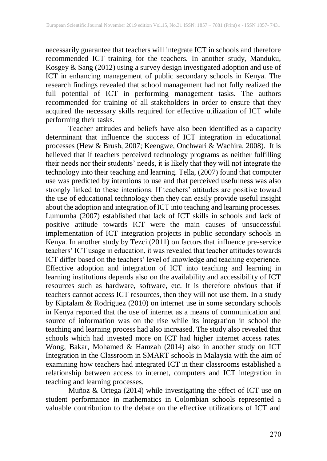necessarily guarantee that teachers will integrate ICT in schools and therefore recommended ICT training for the teachers. In another study, Manduku, Kosgey & Sang (2012) using a survey design investigated adoption and use of ICT in enhancing management of public secondary schools in Kenya. The research findings revealed that school management had not fully realized the full potential of ICT in performing management tasks. The authors recommended for training of all stakeholders in order to ensure that they acquired the necessary skills required for effective utilization of ICT while performing their tasks.

Teacher attitudes and beliefs have also been identified as a capacity determinant that influence the success of ICT integration in educational processes (Hew & Brush, 2007; Keengwe, Onchwari & Wachira, 2008). It is believed that if teachers perceived technology programs as neither fulfilling their needs nor their students' needs, it is likely that they will not integrate the technology into their teaching and learning. Tella, (2007) found that computer use was predicted by intentions to use and that perceived usefulness was also strongly linked to these intentions. If teachers' attitudes are positive toward the use of educational technology then they can easily provide useful insight about the adoption and integration of ICT into teaching and learning processes. Lumumba (2007) established that lack of ICT skills in schools and lack of positive attitude towards ICT were the main causes of unsuccessful implementation of ICT integration projects in public secondary schools in Kenya. In another study by Tezci (2011) on factors that influence pre-service teachers' ICT usage in education, it was revealed that teacher attitudes towards ICT differ based on the teachers' level of knowledge and teaching experience. Effective adoption and integration of ICT into teaching and learning in learning institutions depends also on the availability and accessibility of ICT resources such as hardware, software, etc. It is therefore obvious that if teachers cannot access ICT resources, then they will not use them. In a study by Kiptalam & Rodriguez (2010) on internet use in some secondary schools in Kenya reported that the use of internet as a means of communication and source of information was on the rise while its integration in school the teaching and learning process had also increased. The study also revealed that schools which had invested more on ICT had higher internet access rates. Wong, Bakar, Mohamed & Hamzah (2014) also in another study on ICT Integration in the Classroom in SMART schools in Malaysia with the aim of examining how teachers had integrated ICT in their classrooms established a relationship between access to internet, computers and ICT integration in teaching and learning processes.

Muñoz & Ortega (2014) while investigating the effect of ICT use on student performance in mathematics in Colombian schools represented a valuable contribution to the debate on the effective utilizations of ICT and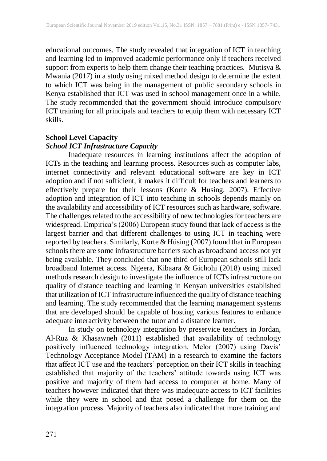educational outcomes. The study revealed that integration of ICT in teaching and learning led to improved academic performance only if teachers received support from experts to help them change their teaching practices. Mutisya  $\&$ Mwania (2017) in a study using mixed method design to determine the extent to which ICT was being in the management of public secondary schools in Kenya established that ICT was used in school management once in a while. The study recommended that the government should introduce compulsory ICT training for all principals and teachers to equip them with necessary ICT skills.

# **School Level Capacity**

# *School ICT Infrastructure Capacity*

Inadequate resources in learning institutions affect the adoption of ICTs in the teaching and learning process. Resources such as computer labs, internet connectivity and relevant educational software are key in ICT adoption and if not sufficient, it makes it difficult for teachers and learners to effectively prepare for their lessons (Korte & Husing, 2007). Effective adoption and integration of ICT into teaching in schools depends mainly on the availability and accessibility of ICT resources such as hardware, software. The challenges related to the accessibility of new technologies for teachers are widespread. Empirica's (2006) European study found that lack of access is the largest barrier and that different challenges to using ICT in teaching were reported by teachers. Similarly, Korte & Hüsing (2007) found that in European schools there are some infrastructure barriers such as broadband access not yet being available. They concluded that one third of European schools still lack broadband Internet access. Ngeera, Kibaara & Gichohi (2018) using mixed methods research design to investigate the influence of ICTs infrastructure on quality of distance teaching and learning in Kenyan universities established that utilization of ICT infrastructure influenced the quality of distance teaching and learning. The study recommended that the learning management systems that are developed should be capable of hosting various features to enhance adequate interactivity between the tutor and a distance learner.

In study on technology integration by preservice teachers in Jordan, Al-Ruz & Khasawneh (2011) established that availability of technology positively influenced technology integration. Melor (2007) using Davis' Technology Acceptance Model (TAM) in a research to examine the factors that affect ICT use and the teachers' perception on their ICT skills in teaching established that majority of the teachers' attitude towards using ICT was positive and majority of them had access to computer at home. Many of teachers however indicated that there was inadequate access to ICT facilities while they were in school and that posed a challenge for them on the integration process. Majority of teachers also indicated that more training and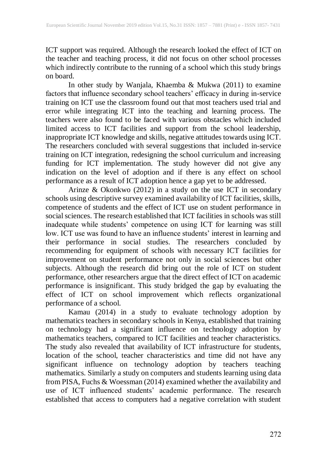ICT support was required. Although the research looked the effect of ICT on the teacher and teaching process, it did not focus on other school processes which indirectly contribute to the running of a school which this study brings on board.

In other study by Wanjala, Khaemba & Mukwa (2011) to examine factors that influence secondary school teachers' efficacy in during in-service training on ICT use the classroom found out that most teachers used trial and error while integrating ICT into the teaching and learning process. The teachers were also found to be faced with various obstacles which included limited access to ICT facilities and support from the school leadership, inappropriate ICT knowledge and skills, negative attitudes towards using ICT. The researchers concluded with several suggestions that included in-service training on ICT integration, redesigning the school curriculum and increasing funding for ICT implementation. The study however did not give any indication on the level of adoption and if there is any effect on school performance as a result of ICT adoption hence a gap yet to be addressed.

Arinze & Okonkwo (2012) in a study on the use ICT in secondary schools using descriptive survey examined availability of ICT facilities, skills, competence of students and the effect of ICT use on student performance in social sciences. The research established that ICT facilities in schools was still inadequate while students' competence on using ICT for learning was still low. ICT use was found to have an influence students' interest in learning and their performance in social studies. The researchers concluded by recommending for equipment of schools with necessary ICT facilities for improvement on student performance not only in social sciences but other subjects. Although the research did bring out the role of ICT on student performance, other researchers argue that the direct effect of ICT on academic performance is insignificant. This study bridged the gap by evaluating the effect of ICT on school improvement which reflects organizational performance of a school.

Kamau (2014) in a study to evaluate technology adoption by mathematics teachers in secondary schools in Kenya, established that training on technology had a significant influence on technology adoption by mathematics teachers, compared to ICT facilities and teacher characteristics. The study also revealed that availability of ICT infrastructure for students, location of the school, teacher characteristics and time did not have any significant influence on technology adoption by teachers teaching mathematics. Similarly a study on computers and students learning using data from PISA, Fuchs & Woessman (2014) examined whether the availability and use of ICT influenced students' academic performance. The research established that access to computers had a negative correlation with student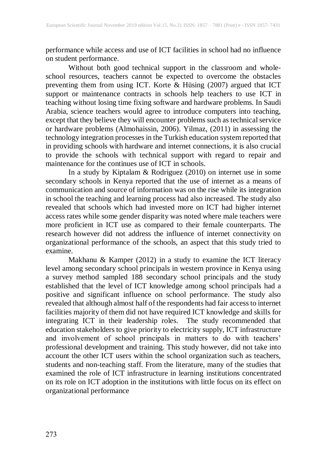performance while access and use of ICT facilities in school had no influence on student performance.

Without both good technical support in the classroom and whole‐ school resources, teachers cannot be expected to overcome the obstacles preventing them from using ICT. Korte & Hüsing (2007) argued that ICT support or maintenance contracts in schools help teachers to use ICT in teaching without losing time fixing software and hardware problems. In Saudi Arabia, science teachers would agree to introduce computers into teaching, except that they believe they will encounter problems such as technical service or hardware problems (Almohaissin, 2006). Yilmaz, (2011) in assessing the technology integration processes in the Turkish education system reported that in providing schools with hardware and internet connections, it is also crucial to provide the schools with technical support with regard to repair and maintenance for the continues use of ICT in schools.

In a study by Kiptalam & Rodriguez (2010) on internet use in some secondary schools in Kenya reported that the use of internet as a means of communication and source of information was on the rise while its integration in school the teaching and learning process had also increased. The study also revealed that schools which had invested more on ICT had higher internet access rates while some gender disparity was noted where male teachers were more proficient in ICT use as compared to their female counterparts. The research however did not address the influence of internet connectivity on organizational performance of the schools, an aspect that this study tried to examine.

Makhanu & Kamper (2012) in a study to examine the ICT literacy level among secondary school principals in western province in Kenya using a survey method sampled 188 secondary school principals and the study established that the level of ICT knowledge among school principals had a positive and significant influence on school performance. The study also revealed that although almost half of the respondents had fair accessto internet facilities majority of them did not have required ICT knowledge and skills for integrating ICT in their leadership roles. The study recommended that education stakeholders to give priority to electricity supply, ICT infrastructure and involvement of school principals in matters to do with teachers' professional development and training. This study however, did not take into account the other ICT users within the school organization such as teachers, students and non-teaching staff. From the literature, many of the studies that examined the role of ICT infrastructure in learning institutions concentrated on its role on ICT adoption in the institutions with little focus on its effect on organizational performance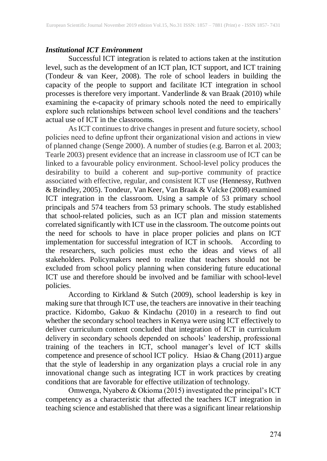#### *Institutional ICT Environment*

Successful ICT integration is related to actions taken at the institution level, such as the development of an ICT plan, ICT support, and ICT training (Tondeur & van Keer, 2008). The role of school leaders in building the capacity of the people to support and facilitate ICT integration in school processes is therefore very important. Vanderlinde & van Braak (2010) while examining the e-capacity of primary schools noted the need to empirically explore such relationships between school level conditions and the teachers' actual use of ICT in the classrooms.

As ICT continues to drive changes in present and future society, school policies need to define upfront their organizational vision and actions in view of planned change (Senge 2000). A number of studies (e.g. Barron et al. 2003; Tearle 2003) present evidence that an increase in classroom use of ICT can be linked to a favourable policy environment. School-level policy produces the desirability to build a coherent and sup-portive community of practice associated with effective, regular, and consistent ICT use (Hennessy, Ruthven & Brindley, 2005). Tondeur, Van Keer, Van Braak & Valcke (2008) examined ICT integration in the classroom. Using a sample of 53 primary school principals and 574 teachers from 53 primary schools. The study established that school-related policies, such as an ICT plan and mission statements correlated significantly with ICT use in the classroom. The outcome points out the need for schools to have in place proper policies and plans on ICT implementation for successful integration of ICT in schools. According to the researchers, such policies must echo the ideas and views of all stakeholders. Policymakers need to realize that teachers should not be excluded from school policy planning when considering future educational ICT use and therefore should be involved and be familiar with school-level policies.

According to Kirkland & Sutch (2009), school leadership is key in making sure that through ICT use, the teachers are innovative in their teaching practice. Kidombo, Gakuo & Kindachu (2010) in a research to find out whether the secondary school teachers in Kenya were using ICT effectively to deliver curriculum content concluded that integration of ICT in curriculum delivery in secondary schools depended on schools' leadership, professional training of the teachers in ICT, school manager's level of ICT skills competence and presence of school ICT policy. Hsiao & Chang (2011) argue that the style of leadership in any organization plays a crucial role in any innovational change such as integrating ICT in work practices by creating conditions that are favorable for effective utilization of technology.

Omwenga, Nyabero & Okioma (2015) investigated the principal's ICT competency as a characteristic that affected the teachers ICT integration in teaching science and established that there was a significant linear relationship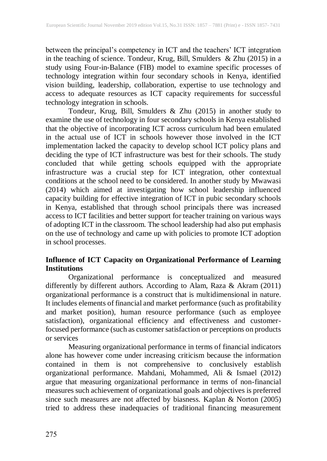between the principal's competency in ICT and the teachers' ICT integration in the teaching of science. Tondeur, Krug, Bill, Smulders & Zhu (2015) in a study using Four-in-Balance (FIB) model to examine specific processes of technology integration within four secondary schools in Kenya, identified vision building, leadership, collaboration, expertise to use technology and access to adequate resources as ICT capacity requirements for successful technology integration in schools.

Tondeur, Krug, Bill, Smulders & Zhu (2015) in another study to examine the use of technology in four secondary schools in Kenya established that the objective of incorporating ICT across curriculum had been emulated in the actual use of ICT in schools however those involved in the ICT implementation lacked the capacity to develop school ICT policy plans and deciding the type of ICT infrastructure was best for their schools. The study concluded that while getting schools equipped with the appropriate infrastructure was a crucial step for ICT integration, other contextual conditions at the school need to be considered. In another study by Mwawasi (2014) which aimed at investigating how school leadership influenced capacity building for effective integration of ICT in pubic secondary schools in Kenya, established that through school principals there was increased access to ICT facilities and better support for teacher training on various ways of adopting ICT in the classroom. The school leadership had also put emphasis on the use of technology and came up with policies to promote ICT adoption in school processes.

## **Influence of ICT Capacity on Organizational Performance of Learning Institutions**

Organizational performance is conceptualized and measured differently by different authors. According to Alam, Raza & Akram (2011) organizational performance is a construct that is multidimensional in nature. It includes elements of financial and market performance (such as profitability and market position), human resource performance (such as employee satisfaction), organizational efficiency and effectiveness and customerfocused performance (such as customer satisfaction or perceptions on products or services

Measuring organizational performance in terms of financial indicators alone has however come under increasing criticism because the information contained in them is not comprehensive to conclusively establish organizational performance. Mahdani, Mohammed, Ali & Ismael (2012) argue that measuring organizational performance in terms of non-financial measures such achievement of organizational goals and objectives is preferred since such measures are not affected by biasness. Kaplan & Norton (2005) tried to address these inadequacies of traditional financing measurement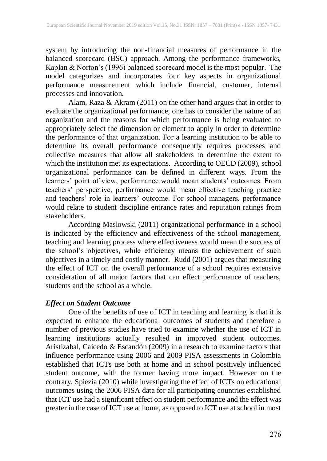system by introducing the non-financial measures of performance in the balanced scorecard (BSC) approach. Among the performance frameworks, Kaplan & Norton's (1996) balanced scorecard model is the most popular. The model categorizes and incorporates four key aspects in organizational performance measurement which include financial, customer, internal processes and innovation.

Alam, Raza & Akram (2011) on the other hand argues that in order to evaluate the organizational performance, one has to consider the nature of an organization and the reasons for which performance is being evaluated to appropriately select the dimension or element to apply in order to determine the performance of that organization. For a learning institution to be able to determine its overall performance consequently requires processes and collective measures that allow all stakeholders to determine the extent to which the institution met its expectations. According to OECD (2009), school organizational performance can be defined in different ways. From the learners' point of view, performance would mean students' outcomes. From teachers' perspective, performance would mean effective teaching practice and teachers' role in learners' outcome. For school managers, performance would relate to student discipline entrance rates and reputation ratings from stakeholders.

According Maslowski (2011) organizational performance in a school is indicated by the efficiency and effectiveness of the school management, teaching and learning process where effectiveness would mean the success of the school's objectives, while efficiency means the achievement of such objectives in a timely and costly manner. Rudd (2001) argues that measuring the effect of ICT on the overall performance of a school requires extensive consideration of all major factors that can effect performance of teachers, students and the school as a whole.

#### *Effect on Student Outcome*

One of the benefits of use of ICT in teaching and learning is that it is expected to enhance the educational outcomes of students and therefore a number of previous studies have tried to examine whether the use of ICT in learning institutions actually resulted in improved student outcomes. Aristizabal, Caicedo & Escandón (2009) in a research to examine factors that influence performance using 2006 and 2009 PISA assessments in Colombia established that ICTs use both at home and in school positively influenced student outcome, with the former having more impact. However on the contrary, Spiezia (2010) while investigating the effect of ICTs on educational outcomes using the 2006 PISA data for all participating countries established that ICT use had a significant effect on student performance and the effect was greater in the case of ICT use at home, as opposed to ICT use at school in most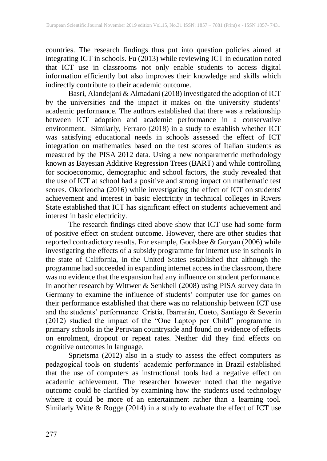countries. The research findings thus put into question policies aimed at integrating ICT in schools. Fu (2013) while reviewing ICT in education noted that ICT use in classrooms not only enable students to access digital information efficiently but also improves their knowledge and skills which indirectly contribute to their academic outcome.

Basri, Alandejani & Almadani (2018) investigated the adoption of ICT by the universities and the impact it makes on the university students' academic performance. The authors established that there was a relationship between ICT adoption and academic performance in a conservative environment. Similarly, Ferraro (2018) in a study to establish whether ICT was satisfying educational needs in schools assessed the effect of ICT integration on mathematics based on the test scores of Italian students as measured by the PISA 2012 data. Using a new nonparametric methodology known as Bayesian Additive Regression Trees (BART) and while controlling for socioeconomic, demographic and school factors, the study revealed that the use of ICT at school had a positive and strong impact on mathematic test scores. Okorieocha (2016) while investigating the effect of ICT on students' achievement and interest in basic electricity in technical colleges in Rivers State established that ICT has significant effect on students' achievement and interest in basic electricity.

The research findings cited above show that ICT use had some form of positive effect on student outcome. However, there are other studies that reported contradictory results. For example, Goolsbee & Guryan (2006) while investigating the effects of a subsidy programme for internet use in schools in the state of California, in the United States established that although the programme had succeeded in expanding internet access in the classroom, there was no evidence that the expansion had any influence on student performance. In another research by Wittwer & Senkbeil (2008) using PISA survey data in Germany to examine the influence of students' computer use for games on their performance established that there was no relationship between ICT use and the students' performance. Cristia, Ibarrarán, Cueto, Santiago & Severín (2012) studied the impact of the "One Laptop per Child" programme in primary schools in the Peruvian countryside and found no evidence of effects on enrolment, dropout or repeat rates. Neither did they find effects on cognitive outcomes in language.

Sprietsma (2012) also in a study to assess the effect computers as pedagogical tools on students' academic performance in Brazil established that the use of computers as instructional tools had a negative effect on academic achievement. The researcher however noted that the negative outcome could be clarified by examining how the students used technology where it could be more of an entertainment rather than a learning tool. Similarly Witte & Rogge (2014) in a study to evaluate the effect of ICT use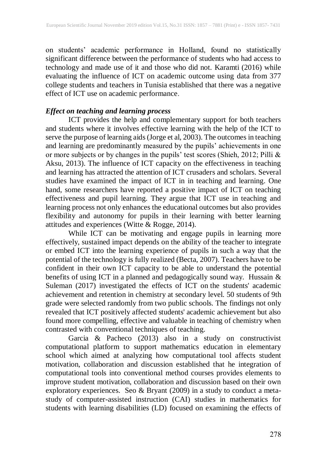on students' academic performance in Holland, found no statistically significant difference between the performance of students who had access to technology and made use of it and those who did not. Karamti (2016) while evaluating the influence of ICT on academic outcome using data from 377 college students and teachers in Tunisia established that there was a negative effect of ICT use on academic performance.

#### *Effect on teaching and learning process*

ICT provides the help and complementary support for both teachers and students where it involves effective learning with the help of the ICT to serve the purpose of learning aids(Jorge et al, 2003). The outcomes in teaching and learning are predominantly measured by the pupils' achievements in one or more subjects or by changes in the pupils' test scores (Shieh, 2012; Pilli & Aksu, 2013). The influence of ICT capacity on the effectiveness in teaching and learning has attracted the attention of ICT crusaders and scholars. Several studies have examined the impact of ICT in in teaching and learning. One hand, some researchers have reported a positive impact of ICT on teaching effectiveness and pupil learning. They argue that ICT use in teaching and learning process not only enhances the educational outcomes but also provides flexibility and autonomy for pupils in their learning with better learning attitudes and experiences (Witte & Rogge, 2014).

While ICT can be motivating and engage pupils in learning more effectively, sustained impact depends on the ability of the teacher to integrate or embed ICT into the learning experience of pupils in such a way that the potential of the technology is fully realized (Becta, 2007). Teachers have to be confident in their own ICT capacity to be able to understand the potential benefits of using ICT in a planned and pedagogically sound way. Hussain & Suleman (2017) investigated the effects of ICT on the students' academic achievement and retention in chemistry at secondary level. 50 students of 9th grade were selected randomly from two public schools. The findings not only revealed that ICT positively affected students' academic achievement but also found more compelling, effective and valuable in teaching of chemistry when contrasted with conventional techniques of teaching.

Garcia & Pacheco (2013) also in a study on constructivist computational platform to support mathematics education in elementary school which aimed at analyzing how computational tool affects student motivation, collaboration and discussion established that he integration of computational tools into conventional method courses provides elements to improve student motivation, collaboration and discussion based on their own exploratory experiences. Seo & Bryant (2009) in a study to conduct a metastudy of computer-assisted instruction (CAI) studies in mathematics for students with learning disabilities (LD) focused on examining the effects of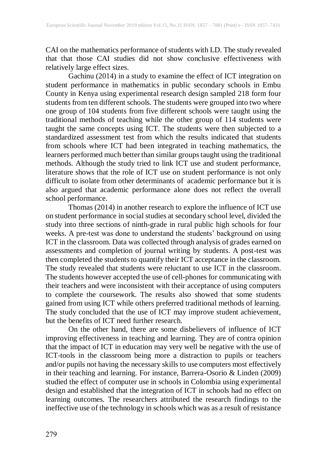CAI on the mathematics performance of students with LD. The study revealed that that those CAI studies did not show conclusive effectiveness with relatively large effect sizes.

Gachinu (2014) in a study to examine the effect of ICT integration on student performance in mathematics in public secondary schools in Embu County in Kenya using experimental research design sampled 218 form four students from ten different schools. The students were grouped into two where one group of 104 students from five different schools were taught using the traditional methods of teaching while the other group of 114 students were taught the same concepts using ICT. The students were then subjected to a standardized assessment test from which the results indicated that students from schools where ICT had been integrated in teaching mathematics, the learners performed much better than similar groupstaught using the traditional methods. Although the study tried to link ICT use and student performance, literature shows that the role of ICT use on student performance is not only difficult to isolate from other determinants of academic performance but it is also argued that academic performance alone does not reflect the overall school performance.

Thomas (2014) in another research to explore the influence of ICT use on student performance in social studies at secondary school level, divided the study into three sections of ninth-grade in rural public high schools for four weeks. A pre-test was done to understand the students' background on using ICT in the classroom. Data was collected through analysis of grades earned on assessments and completion of journal writing by students. A post-test was then completed the students to quantify their ICT acceptance in the classroom. The study revealed that students were reluctant to use ICT in the classroom. The students however accepted the use of cell-phones for communicating with their teachers and were inconsistent with their acceptance of using computers to complete the coursework. The results also showed that some students gained from using ICT while others preferred traditional methods of learning. The study concluded that the use of ICT may improve student achievement, but the benefits of ICT need further research.

On the other hand, there are some disbelievers of influence of ICT improving effectiveness in teaching and learning. They are of contra opinion that the impact of ICT in education may very well be negative with the use of ICT-tools in the classroom being more a distraction to pupils or teachers and/or pupils not having the necessary skills to use computers most effectively in their teaching and learning. For instance, Barrera-Osorio & Linden (2009) studied the effect of computer use in schools in Colombia using experimental design and established that the integration of ICT in schools had no effect on learning outcomes. The researchers attributed the research findings to the ineffective use of the technology in schools which was as a result of resistance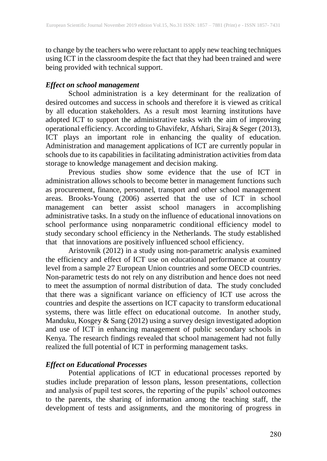to change by the teachers who were reluctant to apply new teaching techniques using ICT in the classroom despite the fact that they had been trained and were being provided with technical support.

#### *Effect on school management*

School administration is a key determinant for the realization of desired outcomes and success in schools and therefore it is viewed as critical by all education stakeholders. As a result most learning institutions have adopted ICT to support the administrative tasks with the aim of improving operational efficiency. According to Ghavifekr, Afshari, Siraj & Seger (2013), ICT plays an important role in enhancing the quality of education. Administration and management applications of ICT are currently popular in schools due to its capabilities in facilitating administration activities from data storage to knowledge management and decision making.

Previous studies show some evidence that the use of ICT in administration allows schools to become better in management functions such as procurement, finance, personnel, transport and other school management areas. Brooks-Young (2006) asserted that the use of ICT in school management can better assist school managers in accomplishing administrative tasks. In a study on the influence of educational innovations on school performance using nonparametric conditional efficiency model to study secondary school efficiency in the Netherlands. The study established that that innovations are positively influenced school efficiency.

Aristovnik (2012) in a study using non-parametric analysis examined the efficiency and effect of ICT use on educational performance at country level from a sample 27 European Union countries and some OECD countries. Non-parametric tests do not rely on any distribution and hence does not need to meet the assumption of normal distribution of data. The study concluded that there was a significant variance on efficiency of ICT use across the countries and despite the assertions on ICT capacity to transform educational systems, there was little effect on educational outcome. In another study, Manduku, Kosgey & Sang (2012) using a survey design investigated adoption and use of ICT in enhancing management of public secondary schools in Kenya. The research findings revealed that school management had not fully realized the full potential of ICT in performing management tasks.

#### *Effect on Educational Processes*

Potential applications of ICT in educational processes reported by studies include preparation of lesson plans, lesson presentations, collection and analysis of pupil test scores, the reporting of the pupils' school outcomes to the parents, the sharing of information among the teaching staff, the development of tests and assignments, and the monitoring of progress in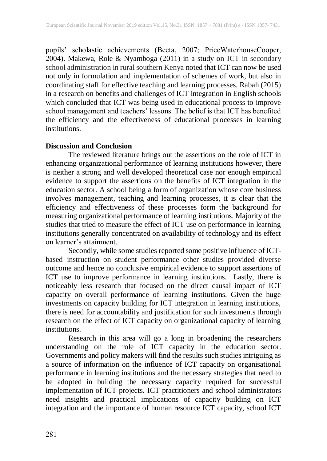pupils' scholastic achievements (Becta, 2007; PriceWaterhouseCooper, 2004). Makewa, Role & Nyamboga (2011) in a study on ICT in secondary school administration in rural southern Kenya noted that ICT can now be used not only in formulation and implementation of schemes of work, but also in coordinating staff for effective teaching and learning processes. Rabah (2015) in a research on benefits and challenges of ICT integration in English schools which concluded that ICT was being used in educational process to improve school management and teachers' lessons. The belief is that ICT has benefited the efficiency and the effectiveness of educational processes in learning institutions.

#### **Discussion and Conclusion**

The reviewed literature brings out the assertions on the role of ICT in enhancing organizational performance of learning institutions however, there is neither a strong and well developed theoretical case nor enough empirical evidence to support the assertions on the benefits of ICT integration in the education sector. A school being a form of organization whose core business involves management, teaching and learning processes, it is clear that the efficiency and effectiveness of these processes form the background for measuring organizational performance of learning institutions. Majority of the studies that tried to measure the effect of ICT use on performance in learning institutions generally concentrated on availability of technology and its effect on learner's attainment.

Secondly, while some studies reported some positive influence of ICTbased instruction on student performance other studies provided diverse outcome and hence no conclusive empirical evidence to support assertions of ICT use to improve performance in learning institutions. Lastly, there is noticeably less research that focused on the direct causal impact of ICT capacity on overall performance of learning institutions. Given the huge investments on capacity building for ICT integration in learning institutions, there is need for accountability and justification for such investments through research on the effect of ICT capacity on organizational capacity of learning institutions.

Research in this area will go a long in broadening the researchers understanding on the role of ICT capacity in the education sector. Governments and policy makers will find the results such studies intriguing as a source of information on the influence of ICT capacity on organisational performance in learning institutions and the necessary strategies that need to be adopted in building the necessary capacity required for successful implementation of ICT projects. ICT practitioners and school administrators need insights and practical implications of capacity building on ICT integration and the importance of human resource ICT capacity, school ICT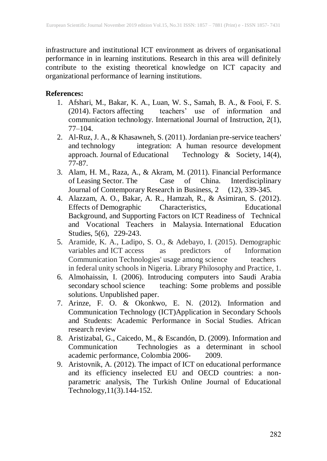infrastructure and institutional ICT environment as drivers of organisational performance in in learning institutions. Research in this area will definitely contribute to the existing theoretical knowledge on ICT capacity and organizational performance of learning institutions.

## **References:**

- 1. Afshari, M., Bakar, K. A., Luan, W. S., Samah, B. A., & Fooi, F. S. (2014). Factors affecting teachers' use of information and communication technology. International Journal of Instruction, 2(1), 77–104.
- 2. Al-Ruz, J. A., & Khasawneh, S. (2011). Jordanian pre-service teachers' and technology integration: A human resource development approach. Journal of Educational Technology & Society, 14(4), 77-87.
- 3. Alam, H. M., Raza, A., & Akram, M. (2011). Financial Performance of Leasing Sector. The Case of China. Interdisciplinary Journal of Contemporary Research in Business, 2 (12), 339-345.
- 4. Alazzam, A. O., Bakar, A. R., Hamzah, R., & Asimiran, S. (2012). Effects of Demographic Characteristics, Educational Background, and Supporting Factors on ICT Readiness of Technical and Vocational Teachers in Malaysia. International Education Studies, 5(6), 229-243.
- 5. Aramide, K. A., Ladipo, S. O., & Adebayo, I. (2015). Demographic variables and ICT access as predictors of Information Communication Technologies' usage among science teachers in federal unity schools in Nigeria. Library Philosophy and Practice, 1.
- 6. Almohaissin, I. (2006). Introducing computers into Saudi Arabia secondary school science teaching: Some problems and possible solutions. Unpublished paper.
- 7. Arinze, F. O. & Okonkwo, E. N. (2012). Information and Communication Technology (ICT)Application in Secondary Schools and Students: Academic Performance in Social Studies. African research review
- 8. Aristizabal, G., Caicedo, M., & Escandón, D. (2009). Information and Communication Technologies as a determinant in school academic performance, Colombia 2006- 2009.
- 9. Aristovnik, A. (2012). The impact of ICT on educational performance and its efficiency inselected EU and OECD countries: a nonparametric analysis, The Turkish Online Journal of Educational Technology,11(3).144-152.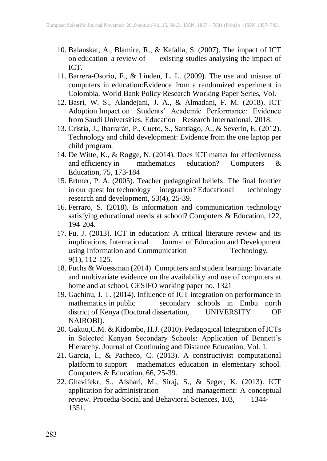- 10. Balanskat, A., Blamire, R., & Kefalla, S. (2007). The impact of ICT on education–a review of existing studies analysing the impact of existing studies analysing the impact of ICT.
- 11. Barrera-Osorio, F., & Linden, L. L. (2009). The use and misuse of computers in education:Evidence from a randomized experiment in Colombia. World Bank Policy Research Working Paper Series, Vol.
- 12. Basri, W. S., Alandejani, J. A., & Almadani, F. M. (2018). ICT Adoption Impact on Students' Academic Performance: Evidence from Saudi Universities. Education Research International, 2018.
- 13. Cristia, J., Ibarrarán, P., Cueto, S., Santiago, A., & Severín, E. (2012). Technology and child development: Evidence from the one laptop per child program.
- 14. De Witte, K., & Rogge, N. (2014). Does ICT matter for effectiveness<br>and efficiency in mathematics education? Computers & and efficiency in mathematics education? Computers & Education, 75, 173-184
- 15. Ertmer, P. A. (2005). Teacher pedagogical beliefs: The final frontier in our quest for technology integration? Educational technology research and development, 53(4), 25-39.
- 16. Ferraro, S. (2018). Is information and communication technology satisfying educational needs at school? Computers & Education, 122, 194-204.
- 17. Fu, J. (2013). ICT in education: A critical literature review and its Journal of Education and Development using Information and Communication Technology, 9(1), 112-125.
- 18. Fuchs & Woessman (2014). Computers and student learning: bivariate and multivariate evidence on the availability and use of computers at home and at school, CESIFO working paper no. 1321
- 19. Gachinu, J. T. (2014). Influence of ICT integration on performance in mathematics in public secondary schools in Embu north district of Kenya (Doctoral dissertation, UNIVERSITY OF NAIROBI).
- 20. Gakuu,C.M. & Kidombo, H.J. (2010). Pedagogical Integration of ICTs in Selected Kenyan Secondary Schools: Application of Bennett's Hierarchy. Journal of Continuing and Distance Education, Vol. 1.
- 21. Garcia, I., & Pacheco, C. (2013). A constructivist computational platform to support mathematics education in elementary school. Computers & Education, 66, 25-39.
- 22. Ghavifekr, S., Afshari, M., Siraj, S., & Seger, K. (2013). ICT application for administration and management: A conceptual review. Procedia-Social and Behavioral Sciences, 103, 1344- 1351.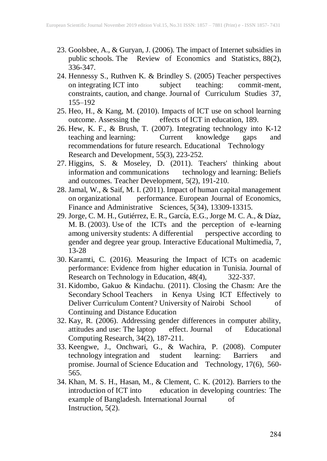- 23. Goolsbee, A., & Guryan, J. (2006). The impact of Internet subsidies in public schools. The Review of Economics and Statistics, 88(2), 336-347.
- 24. Hennessy S., Ruthven K. & Brindley S. (2005) Teacher perspectives on integrating ICT into subject teaching: commit-ment, constraints, caution, and change. Journal of Curriculum Studies 37, 155–192
- 25. Heo, H., & Kang, M. (2010). Impacts of ICT use on school learning outcome. Assessing the effects of ICT in education, 189. 26. Hew, K. F., & Brush, T. (2007). Integrating technology into K-12
- teaching and learning: Current knowledge gaps and recommendations for future research. Educational Technology Research and Development, 55(3), 223-252.
- 27. Higgins, S. & Moseley, D. (2011). Teachers' thinking about information and communications technology and learning: Beliefs and outcomes. Teacher Development, 5(2), 191-210.
- 28. Jamal, W., & Saif, M. I. (2011). Impact of human capital management on organizational performance. European Journal of Economics, Finance and Administrative Sciences, 5(34), 13309-13315.
- 29. Jorge, C. M. H., Gutiérrez, E. R., García, E.G., Jorge M. C. A., & Díaz, M. B. (2003). Use of the ICTs and the perception of e-learning among university students: A differential perspective according to gender and degree year group. Interactive Educational Multimedia, 7, 13-28
- 30. Karamti, C. (2016). Measuring the Impact of ICTs on academic performance: Evidence from higher education in Tunisia. Journal of Research on Technology in Education, 48(4), 322-337.
- 31. Kidombo, Gakuo & Kindachu. (2011). Closing the Chasm: Are the Secondary School Teachers in Kenya Using ICT Effectively to Deliver Curriculum Content? University of Nairobi School of Continuing and Distance Education
- 32. Kay, R. (2006). Addressing gender differences in computer ability, attitudes and use: The laptop effect. Journal of Educational Computing Research, 34(2), 187-211.
- 33. Keengwe, J., Onchwari, G., & Wachira, P. (2008). Computer technology integration and student learning: Barriers and promise. Journal of Science Education and Technology, 17(6), 560- 565.
- 34. Khan, M. S. H., Hasan, M., & Clement, C. K. (2012). Barriers to the introduction of ICT into education in developing countries: The education in developing countries: The example of Bangladesh. International Journal of Instruction, 5(2).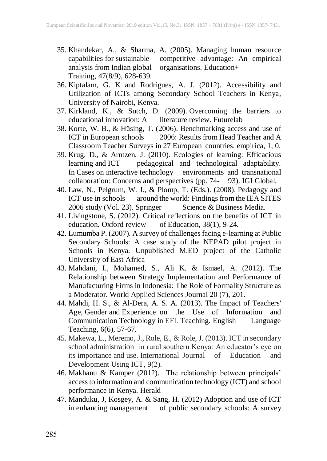- 35. Khandekar, A., & Sharma, A. (2005). Managing human resource competitive advantage: An empirical<br>organisations. Education+ analysis from Indian global Training, 47(8/9), 628-639.
- 36. Kiptalam, G. K and Rodrigues, A. J. (2012). Accessibility and Utilization of ICTs among Secondary School Teachers in Kenya, University of Nairobi, Kenya.
- 37. Kirkland, K., & Sutch, D. (2009). Overcoming the barriers to educational innovation: A literature review. Futurelab
- 38. Korte, W. B., & Hüsing, T. (2006). Benchmarking access and use of ICT in European schools 2006: Results from Head Teacher and A Classroom Teacher Surveys in 27 European countries. empirica, 1, 0.
- 39. Krug, D., & Arntzen, J. (2010). Ecologies of learning: Efficacious learning and ICT pedagogical and technological adaptability. In Cases on interactive technology environments and transnational collaboration: Concerns and perspectives (pp. 74- 93). IGI Global.
- 40. Law, N., Pelgrum, W. J., & Plomp, T. (Eds.). (2008). Pedagogy and ICT use in schools around the world: Findings from the IEA SITES 2006 study (Vol. 23). Springer Science & Business Media.
- 41. Livingstone, S. (2012). Critical reflections on the benefits of ICT in education. Oxford review of Education, 38(1), 9-24.
- 42. Lumumba P. (2007). A survey of challenges facing e-learning at Public Secondary Schools: A case study of the NEPAD pilot project in Schools in Kenya. Unpublished M.ED project of the Catholic University of East Africa
- 43. Mahdani, I., Mohamed, S., Ali K. & Ismael, A. (2012). The Relationship between Strategy Implementation and Performance of Manufacturing Firms in Indonesia: The Role of Formality Structure as a Moderator. World Applied Sciences Journal 20 (7), 201.
- 44. Mahdi, H. S., & Al-Dera, A. S. A. (2013). The Impact of Teachers' Age, Gender and Experience on the Use of Information and Communication Technology in EFL Teaching. English Language Teaching, 6(6), 57-67.
- 45. Makewa, L., Meremo, J., Role, E., & Role, J. (2013). ICT in secondary school administration in rural southern Kenya: An educator's eye on its importance and use. International Journal of Education and Development Using ICT, 9(2).
- 46. Makhanu & Kamper (2012). The relationship between principals' accessto information and communication technology (ICT) and school performance in Kenya. Herald
- 47. Manduku, J, Kosgey, A. & Sang, H. (2012) Adoption and use of ICT in enhancing management of public secondary schools: A survey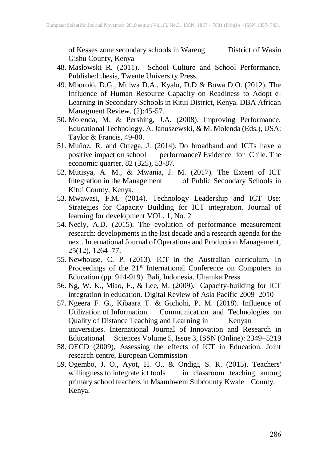of Kesses zone secondary schools in Wareng District of Wasin Gishu County, Kenya

- 48. Maslowski R. (2011). School Culture and School Performance. Published thesis, Twente University Press.
- 49. Mboroki, D.G., Mulwa D.A., Kyalo, D.D & Bowa D.O. (2012). The Influence of Human Resource Capacity on Readiness to Adopt e-Learning in Secondary Schools in Kitui District, Kenya. DBA African Managment Review. (2):45-57.
- 50. Molenda, M. & Pershing, J.A. (2008). Improving Performance. Educational Technology. A. Januszewski, & M. Molenda (Eds.), USA: Taylor & Francis, 49-80.
- 51. Muñoz, R. and Ortega, J. (2014). Do broadband and ICTs have a positive impact on school performance? Evidence for Chile. The economic quarter, 82 (325), 53-87.
- 52. Mutisya, A. M., & Mwania, J. M. (2017). The Extent of ICT Integration in the Management of Public Secondary Schools in Kitui County, Kenya.
- 53. Mwawasi, F.M. (2014). Technology Leadership and ICT Use: Strategies for Capacity Building for ICT integration. Journal of learning for development VOL. 1, No. 2
- 54. Neely, A.D. (2015). The evolution of performance measurement research: developments in the last decade and a research agenda for the next. International Journal of Operations and Production Management, 25(12), 1264–77.
- 55. Newhouse, C. P. (2013). ICT in the Australian curriculum. In Proceedings of the 21<sup>st</sup> International Conference on Computers in Education (pp. 914-919). Bali, Indonesia. Uhamka Press
- 56. Ng, W. K., Miao, F., & Lee, M. (2009). Capacity-building for ICT integration in education. Digital Review of Asia Pacific 2009–2010
- 57. Ngeera F. G., Kibaara T. & Gichohi, P. M. (2018). Influence of Utilization of Information Communication and Technologies on Quality of Distance Teaching and Learning in Kenyan universities. International Journal of Innovation and Research in Educational Sciences Volume 5, Issue 3, ISSN (Online): 2349–5219
- 58. OECD (2009), Assessing the effects of ICT in Education. Joint research centre, European Commission
- 59. Ogembo, J. O., Ayot, H. O., & Ondigi, S. R. (2015). Teachers' willingness to integrate ict tools in classroom teaching among primary school teachers in Msambweni Subcounty Kwale County, Kenya.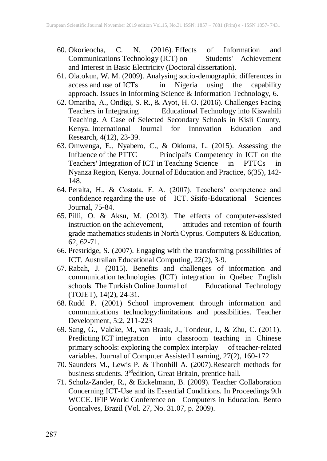- 60. Okorieocha, C. N. (2016). Effects of Information and Communications Technology (ICT) on Students' Achievement and Interest in Basic Electricity (Doctoral dissertation).
- 61. Olatokun, W. M. (2009). Analysing socio-demographic differences in in Nigeria using the capability approach. Issues in Informing Science & Information Technology, 6.
- 62. Omariba, A., Ondigi, S. R., & Ayot, H. O. (2016). Challenges Facing Teachers in Integrating Educational Technology into Kiswahili Teaching. A Case of Selected Secondary Schools in Kisii County, Kenya. International Journal for Innovation Education and Research, 4(12), 23-39.
- 63. Omwenga, E., Nyabero, C., & Okioma, L. (2015). Assessing the Influence of the PTTC Principal's Competency in ICT on the Teachers' Integration of ICT in Teaching Science in PTTCs in Nyanza Region, Kenya. Journal of Education and Practice, 6(35), 142- 148.
- 64. Peralta, H., & Costata, F. A. (2007). Teachers' competence and confidence regarding the use of ICT. Sísifo-Educational Sciences Journal, 75-84.
- 65. Pilli, O. & Aksu, M. (2013). The effects of computer-assisted instruction on the achievement, attitudes and retention of fourth grade mathematics students in North Cyprus. Computers & Education, 62, 62-71.
- 66. Prestridge, S. (2007). Engaging with the transforming possibilities of ICT. Australian Educational Computing, 22(2), 3‐9.
- 67. Rabah, J. (2015). Benefits and challenges of information and communication technologies (ICT) integration in Québec English schools. The Turkish Online Journal of Educational Technology (TOJET), 14(2), 24-31.
- 68. Rudd P. (2001) School improvement through information and communications technology:limitations and possibilities. Teacher Development, 5:2, 211-223
- 69. Sang, G., Valcke, M., van Braak, J., Tondeur, J., & Zhu, C. (2011). Predicting ICT integration into classroom teaching in Chinese primary schools: exploring the complex interplay of teacher-related variables. Journal of Computer Assisted Learning, 27(2), 160-172
- 70. Saunders M., Lewis P. & Thonhill A. (2007).Research methods for business students. 3<sup>rd</sup>edition, Great Britain, prentice hall.
- 71. Schulz-Zander, R., & Eickelmann, B. (2009). Teacher Collaboration Concerning ICT-Use and its Essential Conditions. In Proceedings 9th WCCE. IFIP World Conference on Computers in Education. Bento Goncalves, Brazil (Vol. 27, No. 31.07, p. 2009).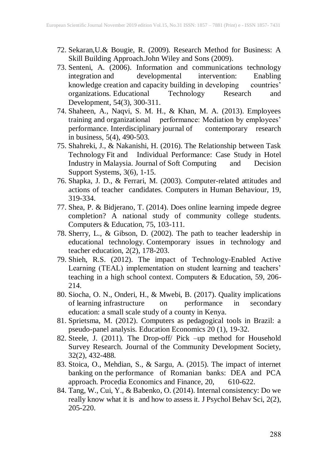- 72. Sekaran,U.& Bougie, R. (2009). Research Method for Business: A Skill Building Approach.John Wiley and Sons (2009).
- 73. Senteni, A. (2006). Information and communications technology integration and developmental intervention: Enabling knowledge creation and capacity building in developing countries' organizations. Educational Technology Research and Development, 54(3), 300-311.
- 74. Shaheen, A., Naqvi, S. M. H., & Khan, M. A. (2013). Employees training and organizational performance: Mediation by employees' performance. Interdisciplinary journal of contemporary research in business, 5(4), 490-503.
- 75. Shahreki, J., & Nakanishi, H. (2016). The Relationship between Task Technology Fit and Individual Performance: Case Study in Hotel Industry in Malaysia. Journal of Soft Computing and Decision Support Systems, 3(6), 1-15.
- 76. Shapka, J. D., & Ferrari, M. (2003). Computer-related attitudes and actions of teacher candidates. Computers in Human Behaviour, 19, 319-334.
- 77. Shea, P. & Bidjerano, T. (2014). Does online learning impede degree completion? A national study of community college students. Computers & Education, 75, 103-111.
- 78. Sherry, L., & Gibson, D. (2002). The path to teacher leadership in educational technology. Contemporary issues in technology and teacher education, 2(2), 178-203.
- 79. Shieh, R.S. (2012). The impact of Technology-Enabled Active Learning (TEAL) implementation on student learning and teachers' teaching in a high school context. Computers & Education, 59, 206- 214.
- 80. Siocha, O. N., Onderi, H., & Mwebi, B. (2017). Quality implications of learning infrastructure on performance in secondary education: a small scale study of a county in Kenya.
- 81. Sprietsma, M. (2012). Computers as pedagogical tools in Brazil: a pseudo-panel analysis. Education Economics 20 (1), 19-32.
- 82. Steele, J. (2011). The Drop-off/ Pick –up method for Household Survey Research. Journal of the Community Development Society, 32(2), 432-488.
- 83. Stoica, O., Mehdian, S., & Sargu, A. (2015). The impact of internet banking on the performance of Romanian banks: DEA and PCA approach. Procedia Economics and Finance, 20, 610-622.
- 84. Tang, W., Cui, Y., & Babenko, O. (2014). Internal consistency: Do we really know what it is and how to assess it. J Psychol Behav Sci, 2(2), 205-220.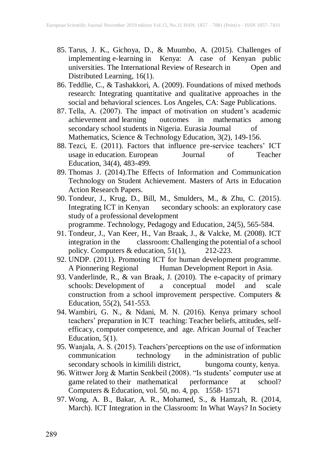- 85. Tarus, J. K., Gichoya, D., & Muumbo, A. (2015). Challenges of implementing e-learning in Kenya: A case of Kenyan public universities. The International Review of Research in Open and Distributed Learning, 16(1).
- 86. Teddlie, C., & Tashakkori, A. (2009). Foundations of mixed methods research: Integrating quantitative and qualitative approaches in the social and behavioral sciences. Los Angeles, CA: Sage Publications.
- 87. Tella, A. (2007). The impact of motivation on student's academic achievement and learning outcomes in mathematics among secondary school students in Nigeria. Eurasia Journal of Mathematics, Science & Technology Education, 3(2), 149-156.
- 88. Tezci, E. (2011). Factors that influence pre-service teachers' ICT usage in education. European Journal of Teacher Education, 34(4), 483-499.
- 89. Thomas J. (2014).The Effects of Information and Communication Technology on Student Achievement. Masters of Arts in Education Action Research Papers.
- 90. Tondeur, J., Krug, D., Bill, M., Smulders, M., & Zhu, C. (2015). Integrating ICT in Kenyan secondary schools: an exploratory case study of a professional development programme. Technology, Pedagogy and Education, 24(5), 565-584.
- 91. Tondeur, J., Van Keer, H., Van Braak, J., & Valcke, M. (2008). ICT integration in the classroom: Challenging the potential of a school<br>policy. Computers & education,  $51(1)$ ,  $212-223$ . policy. Computers & education, 51(1), 212-223.
- 92. UNDP. (2011). Promoting ICT for human development programme. A Pionnering Regional Human Development Report in Asia.
- 93. Vanderlinde, R., & van Braak, J. (2010). The e-capacity of primary schools: Development of a conceptual model and scale construction from a school improvement perspective. Computers & Education, 55(2), 541-553.
- 94. Wambiri, G. N., & Ndani, M. N. (2016). Kenya primary school teachers' preparation in ICT teaching: Teacher beliefs, attitudes, selfefficacy, computer competence, and age. African Journal of Teacher Education,  $5(1)$ .
- 95. Wanjala, A. S. (2015). Teachers'perceptions on the use of information communication technology in the administration of public<br>secondary schools in kimilili district, bungoma county, kenya. secondary schools in kimilili district,
- 96. Wittwer Jorg & Martin Senkbeil (2008). "Is students' computer use at game related to their mathematical performance at school? Computers & Education, vol. 50, no. 4, pp. 1558- 1571
- 97. Wong, A. B., Bakar, A. R., Mohamed, S., & Hamzah, R. (2014, March). ICT Integration in the Classroom: In What Ways? In Society